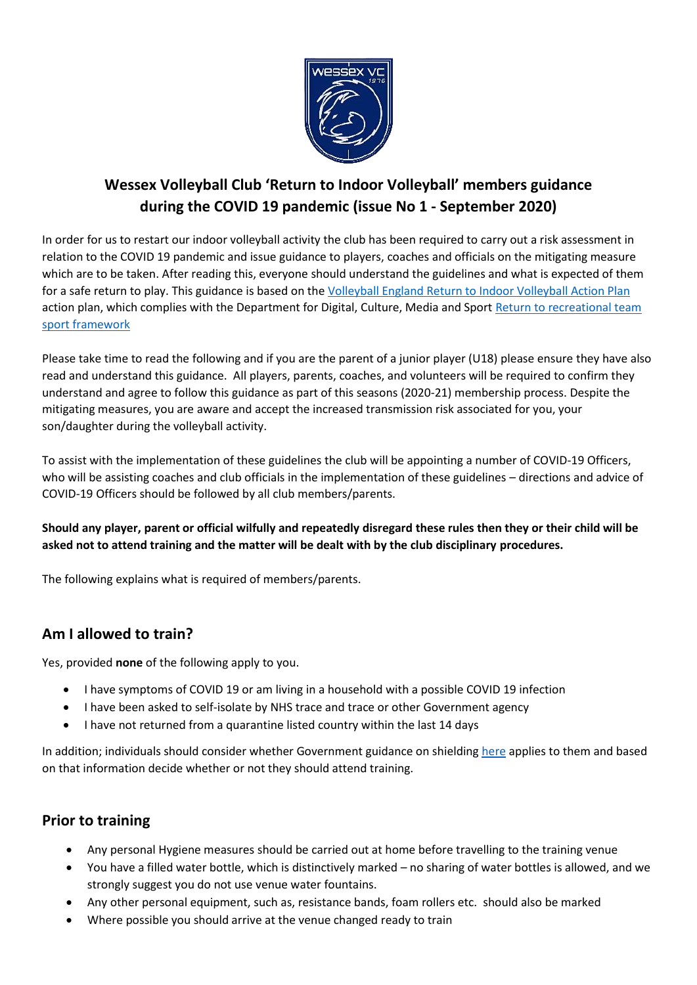

# **Wessex Volleyball Club 'Return to Indoor Volleyball' members guidance during the COVID 19 pandemic (issue No 1 - September 2020)**

In order for us to restart our indoor volleyball activity the club has been required to carry out a risk assessment in relation to the COVID 19 pandemic and issue guidance to players, coaches and officials on the mitigating measure which are to be taken. After reading this, everyone should understand the guidelines and what is expected of them for a safe return to play. This guidance is based on the [Volleyball England Return to Indoor Volleyball Action Plan](https://media.volleyballengland.org/docs/Return%20to%20play%20indoor%20volleyball%20-%20sport%20specific%20action%20plan.pdf) action plan, which complies with the Department for Digital, Culture, Media and Sport Return to recreational team [sport framework](https://www.gov.uk/government/publications/coronavirus-covid-19-guidance-on-phased-return-of-sport-and-recreation/return-to-recreational-team-sport-framework) 

Please take time to read the following and if you are the parent of a junior player (U18) please ensure they have also read and understand this guidance. All players, parents, coaches, and volunteers will be required to confirm they understand and agree to follow this guidance as part of this seasons (2020-21) membership process. Despite the mitigating measures, you are aware and accept the increased transmission risk associated for you, your son/daughter during the volleyball activity.

To assist with the implementation of these guidelines the club will be appointing a number of COVID-19 Officers, who will be assisting coaches and club officials in the implementation of these guidelines – directions and advice of COVID-19 Officers should be followed by all club members/parents.

#### **Should any player, parent or official wilfully and repeatedly disregard these rules then they or their child will be asked not to attend training and the matter will be dealt with by the club disciplinary procedures.**

The following explains what is required of members/parents.

## **Am I allowed to train?**

Yes, provided **none** of the following apply to you.

- I have symptoms of COVID 19 or am living in a household with a possible COVID 19 infection
- I have been asked to self-isolate by NHS trace and trace or other Government agency
- I have not returned from a quarantine listed country within the last 14 days

In addition; individuals should consider whether Government guidance on shieldin[g here](https://www.gov.uk/government/publications/guidance-on-shielding-and-protecting-extremely-vulnerable-persons-from-covid-19/guidance-on-shielding-and-protecting-extremely-vulnerable-persons-from-covid-19) applies to them and based on that information decide whether or not they should attend training.

#### **Prior to training**

- Any personal Hygiene measures should be carried out at home before travelling to the training venue
- You have a filled water bottle, which is distinctively marked no sharing of water bottles is allowed, and we strongly suggest you do not use venue water fountains.
- Any other personal equipment, such as, resistance bands, foam rollers etc. should also be marked
- Where possible you should arrive at the venue changed ready to train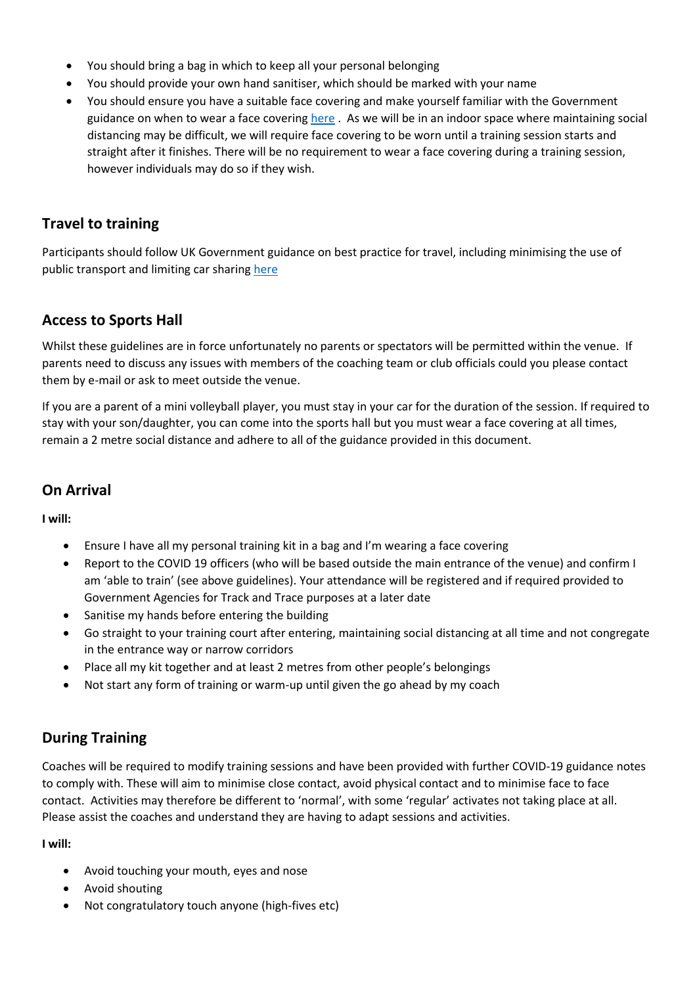- You should bring a bag in which to keep all your personal belonging
- You should provide your own hand sanitiser, which should be marked with your name
- You should ensure you have a suitable face covering and make yourself familiar with the Government guidance on when to wear a face coverin[g here](https://www.gov.uk/government/publications/face-coverings-when-to-wear-one-and-how-to-make-your-own/face-coverings-when-to-wear-one-and-how-to-make-your-own) . As we will be in an indoor space where maintaining social distancing may be difficult, we will require face covering to be worn until a training session starts and straight after it finishes. There will be no requirement to wear a face covering during a training session, however individuals may do so if they wish.

#### **Travel to training**

Participants should follow UK Government guidance on best practice for travel, including minimising the use of public transport and limiting car sharin[g here](https://www.gov.uk/guidance/coronavirus-covid-19-safer-travel-guidance-for-passengers)

#### **Access to Sports Hall**

Whilst these guidelines are in force unfortunately no parents or spectators will be permitted within the venue. If parents need to discuss any issues with members of the coaching team or club officials could you please contact them by e-mail or ask to meet outside the venue.

If you are a parent of a mini volleyball player, you must stay in your car for the duration of the session. If required to stay with your son/daughter, you can come into the sports hall but you must wear a face covering at all times, remain a 2 metre social distance and adhere to all of the guidance provided in this document.

#### **On Arrival**

**I will:**

- Ensure I have all my personal training kit in a bag and I'm wearing a face covering
- Report to the COVID 19 officers (who will be based outside the main entrance of the venue) and confirm I am 'able to train' (see above guidelines). Your attendance will be registered and if required provided to Government Agencies for Track and Trace purposes at a later date
- Sanitise my hands before entering the building
- Go straight to your training court after entering, maintaining social distancing at all time and not congregate in the entrance way or narrow corridors
- Place all my kit together and at least 2 metres from other people's belongings
- Not start any form of training or warm-up until given the go ahead by my coach

## **During Training**

Coaches will be required to modify training sessions and have been provided with further COVID-19 guidance notes to comply with. These will aim to minimise close contact, avoid physical contact and to minimise face to face contact. Activities may therefore be different to 'normal', with some 'regular' activates not taking place at all. Please assist the coaches and understand they are having to adapt sessions and activities.

**I will:**

- Avoid touching your mouth, eyes and nose
- Avoid shouting
- Not congratulatory touch anyone (high-fives etc)